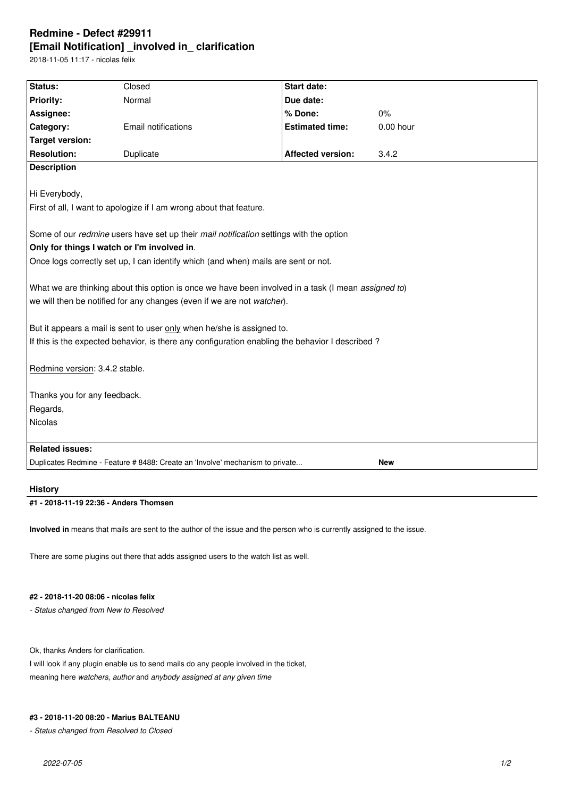# **Redmine - Defect #29911 [Email Notification] \_involved in\_ clarification**

2018-11-05 11:17 - nicolas felix

| Status:                                                                                             | Closed                     | <b>Start date:</b>       |           |
|-----------------------------------------------------------------------------------------------------|----------------------------|--------------------------|-----------|
| Priority:                                                                                           | Normal                     | Due date:                |           |
| Assignee:                                                                                           |                            | % Done:                  | 0%        |
| Category:                                                                                           | <b>Email notifications</b> | <b>Estimated time:</b>   | 0.00 hour |
| <b>Target version:</b>                                                                              |                            |                          |           |
| <b>Resolution:</b>                                                                                  | Duplicate                  | <b>Affected version:</b> | 3.4.2     |
| <b>Description</b>                                                                                  |                            |                          |           |
|                                                                                                     |                            |                          |           |
| Hi Everybody,                                                                                       |                            |                          |           |
| First of all, I want to apologize if I am wrong about that feature.                                 |                            |                          |           |
|                                                                                                     |                            |                          |           |
| Some of our redmine users have set up their mail notification settings with the option              |                            |                          |           |
| Only for things I watch or I'm involved in.                                                         |                            |                          |           |
| Once logs correctly set up, I can identify which (and when) mails are sent or not.                  |                            |                          |           |
|                                                                                                     |                            |                          |           |
| What we are thinking about this option is once we have been involved in a task (I mean assigned to) |                            |                          |           |
| we will then be notified for any changes (even if we are not watcher).                              |                            |                          |           |
|                                                                                                     |                            |                          |           |
| But it appears a mail is sent to user only when he/she is assigned to.                              |                            |                          |           |
| If this is the expected behavior, is there any configuration enabling the behavior I described?     |                            |                          |           |
|                                                                                                     |                            |                          |           |
| Redmine version: 3.4.2 stable.                                                                      |                            |                          |           |
|                                                                                                     |                            |                          |           |
| Thanks you for any feedback.                                                                        |                            |                          |           |
| Regards,                                                                                            |                            |                          |           |
| Nicolas                                                                                             |                            |                          |           |
|                                                                                                     |                            |                          |           |
| <b>Related issues:</b>                                                                              |                            |                          |           |
| Duplicates Redmine - Feature # 8488: Create an 'Involve' mechanism to private<br><b>New</b>         |                            |                          |           |
|                                                                                                     |                            |                          |           |

# **History**

## **#1 - 2018-11-19 22:36 - Anders Thomsen**

**Involved in** means that mails are sent to the author of the issue and the person who is currently assigned to the issue.

There are some plugins out there that adds assigned users to the watch list as well.

## **#2 - 2018-11-20 08:06 - nicolas felix**

*- Status changed from New to Resolved*

Ok, thanks Anders for clarification.

I will look if any plugin enable us to send mails do any people involved in the ticket, meaning here *watchers*, *author* and *anybody assigned at any given time*

#### **#3 - 2018-11-20 08:20 - Marius BALTEANU**

*- Status changed from Resolved to Closed*